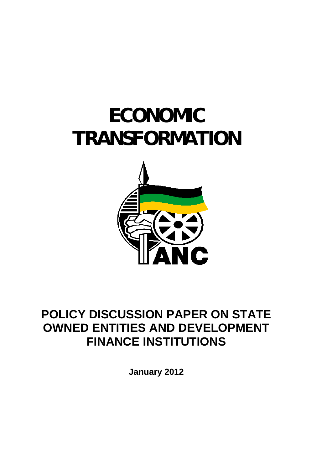# **ECONOMIC TRANSFORMATION**



# **POLICY DISCUSSION PAPER ON STATE OWNED ENTITIES AND DEVELOPMENT FINANCE INSTITUTIONS**

**January 2012**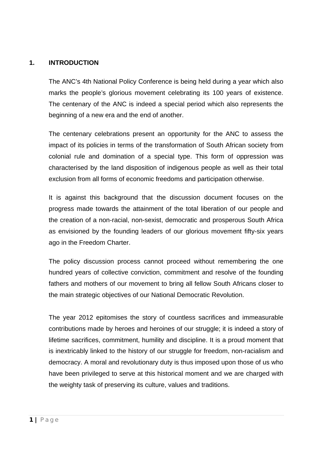#### **1. INTRODUCTION**

The ANC's 4th National Policy Conference is being held during a year which also marks the people's glorious movement celebrating its 100 years of existence. The centenary of the ANC is indeed a special period which also represents the beginning of a new era and the end of another.

The centenary celebrations present an opportunity for the ANC to assess the impact of its policies in terms of the transformation of South African society from colonial rule and domination of a special type. This form of oppression was characterised by the land disposition of indigenous people as well as their total exclusion from all forms of economic freedoms and participation otherwise.

It is against this background that the discussion document focuses on the progress made towards the attainment of the total liberation of our people and the creation of a non-racial, non-sexist, democratic and prosperous South Africa as envisioned by the founding leaders of our glorious movement fifty-six years ago in the Freedom Charter.

The policy discussion process cannot proceed without remembering the one hundred years of collective conviction, commitment and resolve of the founding fathers and mothers of our movement to bring all fellow South Africans closer to the main strategic objectives of our National Democratic Revolution.

The year 2012 epitomises the story of countless sacrifices and immeasurable contributions made by heroes and heroines of our struggle; it is indeed a story of lifetime sacrifices, commitment, humility and discipline. It is a proud moment that is inextricably linked to the history of our struggle for freedom, non-racialism and democracy. A moral and revolutionary duty is thus imposed upon those of us who have been privileged to serve at this historical moment and we are charged with the weighty task of preserving its culture, values and traditions.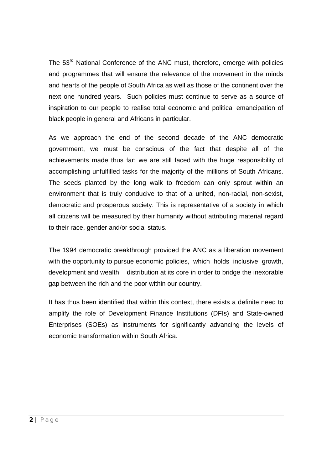The 53<sup>rd</sup> National Conference of the ANC must, therefore, emerge with policies and programmes that will ensure the relevance of the movement in the minds and hearts of the people of South Africa as well as those of the continent over the next one hundred years. Such policies must continue to serve as a source of inspiration to our people to realise total economic and political emancipation of black people in general and Africans in particular.

As we approach the end of the second decade of the ANC democratic government, we must be conscious of the fact that despite all of the achievements made thus far; we are still faced with the huge responsibility of accomplishing unfulfilled tasks for the majority of the millions of South Africans. The seeds planted by the long walk to freedom can only sprout within an environment that is truly conducive to that of a united, non-racial, non-sexist, democratic and prosperous society. This is representative of a society in which all citizens will be measured by their humanity without attributing material regard to their race, gender and/or social status.

 The 1994 democratic breakthrough provided the ANC as a liberation movement with the opportunity to pursue economic policies, which holds inclusive growth, development and wealth distribution at its core in order to bridge the inexorable gap between the rich and the poor within our country.

It has thus been identified that within this context, there exists a definite need to amplify the role of Development Finance Institutions (DFIs) and State-owned Enterprises (SOEs) as instruments for significantly advancing the levels of economic transformation within South Africa.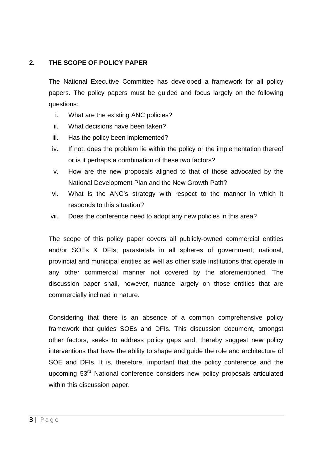#### **2. THE SCOPE OF POLICY PAPER**

The National Executive Committee has developed a framework for all policy papers. The policy papers must be guided and focus largely on the following questions:

- i. What are the existing ANC policies?
- ii. What decisions have been taken?
- iii. Has the policy been implemented?
- iv. If not, does the problem lie within the policy or the implementation thereof or is it perhaps a combination of these two factors?
- v. How are the new proposals aligned to that of those advocated by the National Development Plan and the New Growth Path?
- vi. What is the ANC's strategy with respect to the manner in which it responds to this situation?
- vii. Does the conference need to adopt any new policies in this area?

The scope of this policy paper covers all publicly-owned commercial entities and/or SOEs & DFIs; parastatals in all spheres of government; national, provincial and municipal entities as well as other state institutions that operate in any other commercial manner not covered by the aforementioned. The discussion paper shall, however, nuance largely on those entities that are commercially inclined in nature.

Considering that there is an absence of a common comprehensive policy framework that guides SOEs and DFIs. This discussion document, amongst other factors, seeks to address policy gaps and, thereby suggest new policy interventions that have the ability to shape and guide the role and architecture of SOE and DFIs. It is, therefore, important that the policy conference and the upcoming 53<sup>rd</sup> National conference considers new policy proposals articulated within this discussion paper.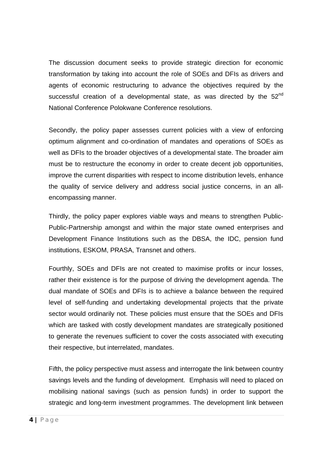The discussion document seeks to provide strategic direction for economic transformation by taking into account the role of SOEs and DFIs as drivers and agents of economic restructuring to advance the objectives required by the successful creation of a developmental state, as was directed by the 52<sup>nd</sup> National Conference Polokwane Conference resolutions.

Secondly, the policy paper assesses current policies with a view of enforcing optimum alignment and co-ordination of mandates and operations of SOEs as well as DFIs to the broader objectives of a developmental state. The broader aim must be to restructure the economy in order to create decent job opportunities, improve the current disparities with respect to income distribution levels, enhance the quality of service delivery and address social justice concerns, in an allencompassing manner.

Thirdly, the policy paper explores viable ways and means to strengthen Public-Public-Partnership amongst and within the major state owned enterprises and Development Finance Institutions such as the DBSA, the IDC, pension fund institutions, ESKOM, PRASA, Transnet and others.

Fourthly, SOEs and DFIs are not created to maximise profits or incur losses, rather their existence is for the purpose of driving the development agenda. The dual mandate of SOEs and DFIs is to achieve a balance between the required level of self-funding and undertaking developmental projects that the private sector would ordinarily not. These policies must ensure that the SOEs and DFIs which are tasked with costly development mandates are strategically positioned to generate the revenues sufficient to cover the costs associated with executing their respective, but interrelated, mandates.

Fifth, the policy perspective must assess and interrogate the link between country savings levels and the funding of development. Emphasis will need to placed on mobilising national savings (such as pension funds) in order to support the strategic and long-term investment programmes. The development link between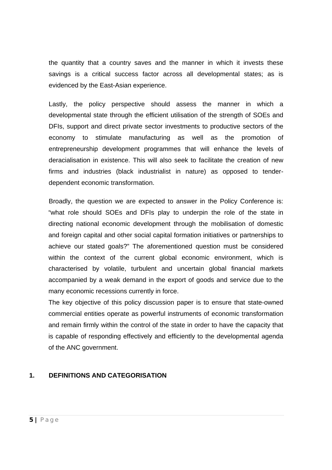the quantity that a country saves and the manner in which it invests these savings is a critical success factor across all developmental states; as is evidenced by the East-Asian experience.

Lastly, the policy perspective should assess the manner in which a developmental state through the efficient utilisation of the strength of SOEs and DFIs, support and direct private sector investments to productive sectors of the economy to stimulate manufacturing as well as the promotion of entrepreneurship development programmes that will enhance the levels of deracialisation in existence. This will also seek to facilitate the creation of new firms and industries (black industrialist in nature) as opposed to tenderdependent economic transformation.

 Broadly, the question we are expected to answer in the Policy Conference is: "what role should SOEs and DFIs play to underpin the role of the state in directing national economic development through the mobilisation of domestic and foreign capital and other social capital formation initiatives or partnerships to achieve our stated goals?" The aforementioned question must be considered within the context of the current global economic environment, which is characterised by volatile, turbulent and uncertain global financial markets accompanied by a weak demand in the export of goods and service due to the many economic recessions currently in force.

The key objective of this policy discussion paper is to ensure that state-owned commercial entities operate as powerful instruments of economic transformation and remain firmly within the control of the state in order to have the capacity that is capable of responding effectively and efficiently to the developmental agenda of the ANC government.

#### **1. DEFINITIONS AND CATEGORISATION**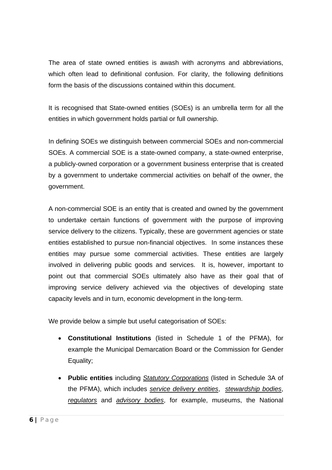The area of state owned entities is awash with acronyms and abbreviations, which often lead to definitional confusion. For clarity, the following definitions form the basis of the discussions contained within this document.

It is recognised that State-owned entities (SOEs) is an umbrella term for all the entities in which government holds partial or full ownership.

In defining SOEs we distinguish between commercial SOEs and non-commercial SOEs. A commercial SOE is a state-owned company, a state-owned enterprise, a publicly-owned corporation or a government business enterprise that is created by a government to undertake commercial activities on behalf of the owner, the government.

A non-commercial SOE is an entity that is created and owned by the government to undertake certain functions of government with the purpose of improving service delivery to the citizens. Typically, these are government agencies or state entities established to pursue non-financial objectives. In some instances these entities may pursue some commercial activities. These entities are largely involved in delivering public goods and services. It is, however, important to point out that commercial SOEs ultimately also have as their goal that of improving service delivery achieved via the objectives of developing state capacity levels and in turn, economic development in the long-term.

We provide below a simple but useful categorisation of SOEs:

- **Constitutional Institutions** (listed in Schedule 1 of the PFMA), for example the Municipal Demarcation Board or the Commission for Gender Equality;
- **Public entities** including *Statutory Corporations* (listed in Schedule 3A of the PFMA), which includes *service delivery entities*, *stewardship bodies*, *regulators* and *advisory bodies*, for example, museums, the National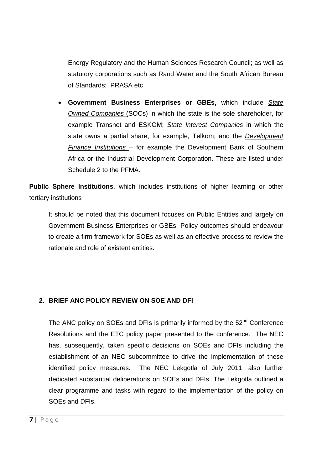Energy Regulatory and the Human Sciences Research Council; as well as statutory corporations such as Rand Water and the South African Bureau of Standards; PRASA etc

• **Government Business Enterprises or GBEs,** which include *State Owned Companies* (SOCs) in which the state is the sole shareholder, for example Transnet and ESKOM; *State Interest Companies* in which the state owns a partial share, for example, Telkom; and the *Development Finance Institutions* – for example the Development Bank of Southern Africa or the Industrial Development Corporation. These are listed under Schedule 2 to the PFMA.

**Public Sphere Institutions**, which includes institutions of higher learning or other tertiary institutions

It should be noted that this document focuses on Public Entities and largely on Government Business Enterprises or GBEs. Policy outcomes should endeavour to create a firm framework for SOEs as well as an effective process to review the rationale and role of existent entities.

#### **2. BRIEF ANC POLICY REVIEW ON SOE AND DFI**

The ANC policy on SOEs and DFIs is primarily informed by the  $52<sup>nd</sup>$  Conference Resolutions and the ETC policy paper presented to the conference. The NEC has, subsequently, taken specific decisions on SOEs and DFIs including the establishment of an NEC subcommittee to drive the implementation of these identified policy measures. The NEC Lekgotla of July 2011, also further dedicated substantial deliberations on SOEs and DFIs. The Lekgotla outlined a clear programme and tasks with regard to the implementation of the policy on SOEs and DFIs.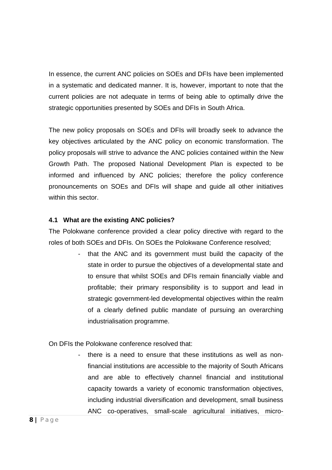In essence, the current ANC policies on SOEs and DFIs have been implemented in a systematic and dedicated manner. It is, however, important to note that the current policies are not adequate in terms of being able to optimally drive the strategic opportunities presented by SOEs and DFIs in South Africa.

The new policy proposals on SOEs and DFIs will broadly seek to advance the key objectives articulated by the ANC policy on economic transformation. The policy proposals will strive to advance the ANC policies contained within the New Growth Path. The proposed National Development Plan is expected to be informed and influenced by ANC policies; therefore the policy conference pronouncements on SOEs and DFIs will shape and guide all other initiatives within this sector.

#### **4.1 What are the existing ANC policies?**

The Polokwane conference provided a clear policy directive with regard to the roles of both SOEs and DFIs. On SOEs the Polokwane Conference resolved;

> that the ANC and its government must build the capacity of the state in order to pursue the objectives of a developmental state and to ensure that whilst SOEs and DFIs remain financially viable and profitable; their primary responsibility is to support and lead in strategic government-led developmental objectives within the realm of a clearly defined public mandate of pursuing an overarching industrialisation programme.

On DFIs the Polokwane conference resolved that:

there is a need to ensure that these institutions as well as nonfinancial institutions are accessible to the majority of South Africans and are able to effectively channel financial and institutional capacity towards a variety of economic transformation objectives, including industrial diversification and development, small business ANC co-operatives, small-scale agricultural initiatives, micro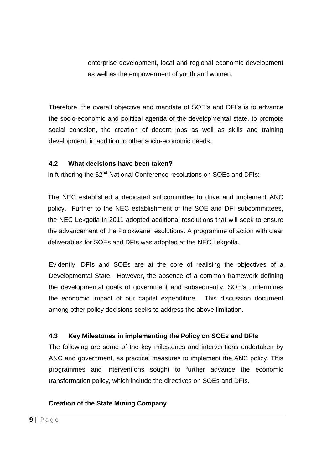enterprise development, local and regional economic development as well as the empowerment of youth and women.

Therefore, the overall objective and mandate of SOE's and DFI's is to advance the socio-economic and political agenda of the developmental state, to promote social cohesion, the creation of decent jobs as well as skills and training development, in addition to other socio-economic needs.

#### **4.2 What decisions have been taken?**

In furthering the 52<sup>nd</sup> National Conference resolutions on SOEs and DFIs:

The NEC established a dedicated subcommittee to drive and implement ANC policy. Further to the NEC establishment of the SOE and DFI subcommittees, the NEC Lekgotla in 2011 adopted additional resolutions that will seek to ensure the advancement of the Polokwane resolutions. A programme of action with clear deliverables for SOEs and DFIs was adopted at the NEC Lekgotla.

Evidently, DFIs and SOEs are at the core of realising the objectives of a Developmental State. However, the absence of a common framework defining the developmental goals of government and subsequently, SOE's undermines the economic impact of our capital expenditure. This discussion document among other policy decisions seeks to address the above limitation.

#### **4.3 Key Milestones in implementing the Policy on SOEs and DFIs**

The following are some of the key milestones and interventions undertaken by ANC and government, as practical measures to implement the ANC policy. This programmes and interventions sought to further advance the economic transformation policy, which include the directives on SOEs and DFIs.

#### **Creation of the State Mining Company**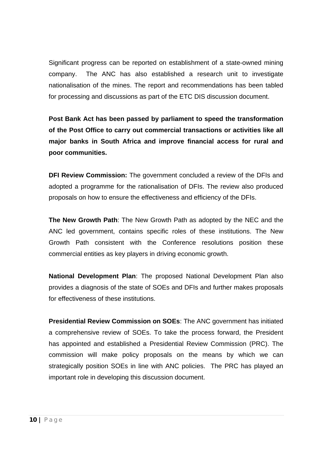Significant progress can be reported on establishment of a state-owned mining company. The ANC has also established a research unit to investigate nationalisation of the mines. The report and recommendations has been tabled for processing and discussions as part of the ETC DIS discussion document.

**Post Bank Act has been passed by parliament to speed the transformation of the Post Office to carry out commercial transactions or activities like all major banks in South Africa and improve financial access for rural and poor communities.** 

**DFI Review Commission:** The government concluded a review of the DFIs and adopted a programme for the rationalisation of DFIs. The review also produced proposals on how to ensure the effectiveness and efficiency of the DFIs.

**The New Growth Path**: The New Growth Path as adopted by the NEC and the ANC led government, contains specific roles of these institutions. The New Growth Path consistent with the Conference resolutions position these commercial entities as key players in driving economic growth.

**National Development Plan**: The proposed National Development Plan also provides a diagnosis of the state of SOEs and DFIs and further makes proposals for effectiveness of these institutions.

**Presidential Review Commission on SOEs**: The ANC government has initiated a comprehensive review of SOEs. To take the process forward, the President has appointed and established a Presidential Review Commission (PRC). The commission will make policy proposals on the means by which we can strategically position SOEs in line with ANC policies. The PRC has played an important role in developing this discussion document.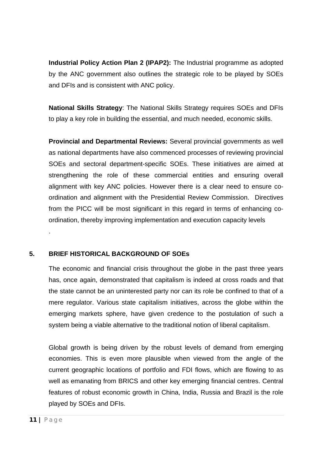**Industrial Policy Action Plan 2 (IPAP2):** The Industrial programme as adopted by the ANC government also outlines the strategic role to be played by SOEs and DFIs and is consistent with ANC policy.

**National Skills Strategy**: The National Skills Strategy requires SOEs and DFIs to play a key role in building the essential, and much needed, economic skills.

**Provincial and Departmental Reviews:** Several provincial governments as well as national departments have also commenced processes of reviewing provincial SOEs and sectoral department-specific SOEs. These initiatives are aimed at strengthening the role of these commercial entities and ensuring overall alignment with key ANC policies. However there is a clear need to ensure coordination and alignment with the Presidential Review Commission. Directives from the PICC will be most significant in this regard in terms of enhancing coordination, thereby improving implementation and execution capacity levels

#### **5. BRIEF HISTORICAL BACKGROUND OF SOEs**

The economic and financial crisis throughout the globe in the past three years has, once again, demonstrated that capitalism is indeed at cross roads and that the state cannot be an uninterested party nor can its role be confined to that of a mere regulator. Various state capitalism initiatives, across the globe within the emerging markets sphere, have given credence to the postulation of such a system being a viable alternative to the traditional notion of liberal capitalism.

Global growth is being driven by the robust levels of demand from emerging economies. This is even more plausible when viewed from the angle of the current geographic locations of portfolio and FDI flows, which are flowing to as well as emanating from BRICS and other key emerging financial centres. Central features of robust economic growth in China, India, Russia and Brazil is the role played by SOEs and DFIs.

.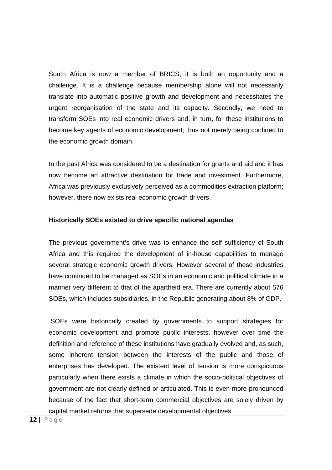South Africa is now a member of BRICS; it is both an opportunity and a challenge. It is a challenge because membership alone will not necessarily translate into automatic positive growth and development and necessitates the urgent reorganisation of the state and its capacity. Secondly, we need to transform SOEs into real economic drivers and, in turn, for these institutions to become key agents of economic development; thus not merely being confined to the economic growth domain.

In the past Africa was considered to be a destination for grants and aid and it has now become an attractive destination for trade and investment. Furthermore, Africa was previously exclusively perceived as a commodities extraction platform; however, there now exists real economic growth drivers.

#### **Historically SOEs existed to drive specific national agendas**

The previous government's drive was to enhance the self sufficiency of South Africa and this required the development of in-house capabilities to manage several strategic economic growth drivers. However several of these industries have continued to be managed as SOEs in an economic and political climate in a manner very different to that of the apartheid era. There are currently about 576 SOEs, which includes subsidiaries, in the Republic generating about 8% of GDP.

 SOEs were historically created by governments to support strategies for economic development and promote public interests, however over time the definition and reference of these institutions have gradually evolved and, as such, some inherent tension between the interests of the public and those of enterprises has developed. The existent level of tension is more conspicuous particularly when there exists a climate in which the socio-political objectives of government are not clearly defined or articulated. This is even more pronounced because of the fact that short-term commercial objectives are solely driven by capital market returns that supersede developmental objectives.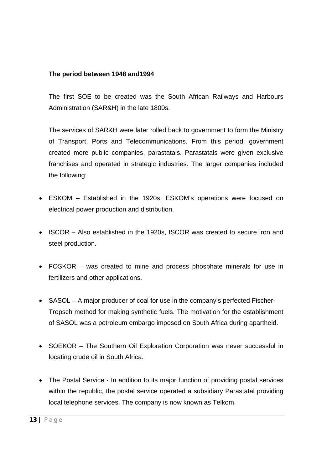#### **The period between 1948 and1994**

The first SOE to be created was the South African Railways and Harbours Administration (SAR&H) in the late 1800s.

The services of SAR&H were later rolled back to government to form the Ministry of Transport, Ports and Telecommunications. From this period, government created more public companies, parastatals. Parastatals were given exclusive franchises and operated in strategic industries. The larger companies included the following:

- ESKOM Established in the 1920s, ESKOM's operations were focused on electrical power production and distribution.
- ISCOR Also established in the 1920s, ISCOR was created to secure iron and steel production.
- FOSKOR was created to mine and process phosphate minerals for use in fertilizers and other applications.
- SASOL A major producer of coal for use in the company's perfected Fischer-Tropsch method for making synthetic fuels. The motivation for the establishment of SASOL was a petroleum embargo imposed on South Africa during apartheid.
- SOEKOR The Southern Oil Exploration Corporation was never successful in locating crude oil in South Africa.
- The Postal Service In addition to its major function of providing postal services within the republic, the postal service operated a subsidiary Parastatal providing local telephone services. The company is now known as Telkom.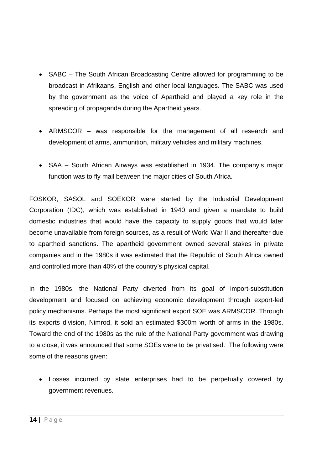- SABC The South African Broadcasting Centre allowed for programming to be broadcast in Afrikaans, English and other local languages. The SABC was used by the government as the voice of Apartheid and played a key role in the spreading of propaganda during the Apartheid years.
- ARMSCOR was responsible for the management of all research and development of arms, ammunition, military vehicles and military machines.
- SAA South African Airways was established in 1934. The company's major function was to fly mail between the major cities of South Africa.

FOSKOR, SASOL and SOEKOR were started by the Industrial Development Corporation (IDC), which was established in 1940 and given a mandate to build domestic industries that would have the capacity to supply goods that would later become unavailable from foreign sources, as a result of World War II and thereafter due to apartheid sanctions. The apartheid government owned several stakes in private companies and in the 1980s it was estimated that the Republic of South Africa owned and controlled more than 40% of the country's physical capital.

In the 1980s, the National Party diverted from its goal of import-substitution development and focused on achieving economic development through export-led policy mechanisms. Perhaps the most significant export SOE was ARMSCOR. Through its exports division, Nimrod, it sold an estimated \$300m worth of arms in the 1980s. Toward the end of the 1980s as the rule of the National Party government was drawing to a close, it was announced that some SOEs were to be privatised. The following were some of the reasons given:

• Losses incurred by state enterprises had to be perpetually covered by government revenues.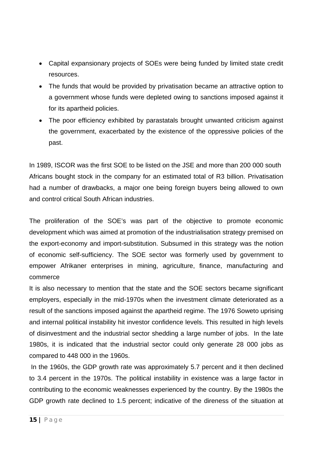- Capital expansionary projects of SOEs were being funded by limited state credit resources.
- The funds that would be provided by privatisation became an attractive option to a government whose funds were depleted owing to sanctions imposed against it for its apartheid policies.
- The poor efficiency exhibited by parastatals brought unwanted criticism against the government, exacerbated by the existence of the oppressive policies of the past.

In 1989, ISCOR was the first SOE to be listed on the JSE and more than 200 000 south Africans bought stock in the company for an estimated total of R3 billion. Privatisation had a number of drawbacks, a major one being foreign buyers being allowed to own and control critical South African industries.

The proliferation of the SOE's was part of the objective to promote economic development which was aimed at promotion of the industrialisation strategy premised on the export-economy and import-substitution. Subsumed in this strategy was the notion of economic self-sufficiency. The SOE sector was formerly used by government to empower Afrikaner enterprises in mining, agriculture, finance, manufacturing and commerce

It is also necessary to mention that the state and the SOE sectors became significant employers, especially in the mid-1970s when the investment climate deteriorated as a result of the sanctions imposed against the apartheid regime. The 1976 Soweto uprising and internal political instability hit investor confidence levels. This resulted in high levels of disinvestment and the industrial sector shedding a large number of jobs. In the late 1980s, it is indicated that the industrial sector could only generate 28 000 jobs as compared to 448 000 in the 1960s.

 In the 1960s, the GDP growth rate was approximately 5.7 percent and it then declined to 3.4 percent in the 1970s. The political instability in existence was a large factor in contributing to the economic weaknesses experienced by the country. By the 1980s the GDP growth rate declined to 1.5 percent; indicative of the direness of the situation at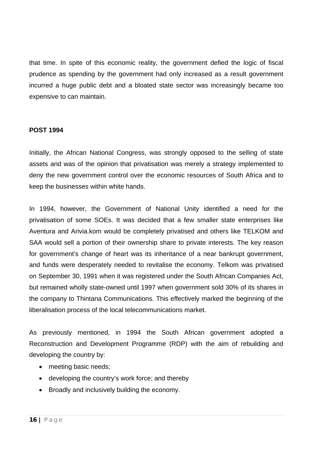that time. In spite of this economic reality, the government defied the logic of fiscal prudence as spending by the government had only increased as a result government incurred a huge public debt and a bloated state sector was increasingly became too expensive to can maintain.

#### **POST 1994**

Initially, the African National Congress, was strongly opposed to the selling of state assets and was of the opinion that privatisation was merely a strategy implemented to deny the new government control over the economic resources of South Africa and to keep the businesses within white hands.

In 1994, however, the Government of National Unity identified a need for the privatisation of some SOEs. It was decided that a few smaller state enterprises like Aventura and Arivia.kom would be completely privatised and others like TELKOM and SAA would sell a portion of their ownership share to private interests. The key reason for government's change of heart was its inheritance of a near bankrupt government, and funds were desperately needed to revitalise the economy. Telkom was privatised on September 30, 1991 when it was registered under the South African Companies Act, but remained wholly state-owned until 1997 when government sold 30% of its shares in the company to Thintana Communications. This effectively marked the beginning of the liberalisation process of the local telecommunications market.

As previously mentioned, in 1994 the South African government adopted a Reconstruction and Development Programme (RDP) with the aim of rebuilding and developing the country by:

- meeting basic needs;
- developing the country's work force; and thereby
- Broadly and inclusively building the economy.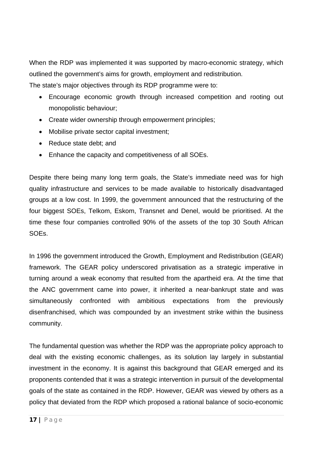When the RDP was implemented it was supported by macro-economic strategy, which outlined the government's aims for growth, employment and redistribution.

The state's major objectives through its RDP programme were to:

- Encourage economic growth through increased competition and rooting out monopolistic behaviour;
- Create wider ownership through empowerment principles;
- Mobilise private sector capital investment;
- Reduce state debt; and
- Enhance the capacity and competitiveness of all SOEs.

Despite there being many long term goals, the State's immediate need was for high quality infrastructure and services to be made available to historically disadvantaged groups at a low cost. In 1999, the government announced that the restructuring of the four biggest SOEs, Telkom, Eskom, Transnet and Denel, would be prioritised. At the time these four companies controlled 90% of the assets of the top 30 South African SOEs.

In 1996 the government introduced the Growth, Employment and Redistribution (GEAR) framework. The GEAR policy underscored privatisation as a strategic imperative in turning around a weak economy that resulted from the apartheid era. At the time that the ANC government came into power, it inherited a near-bankrupt state and was simultaneously confronted with ambitious expectations from the previously disenfranchised, which was compounded by an investment strike within the business community.

The fundamental question was whether the RDP was the appropriate policy approach to deal with the existing economic challenges, as its solution lay largely in substantial investment in the economy. It is against this background that GEAR emerged and its proponents contended that it was a strategic intervention in pursuit of the developmental goals of the state as contained in the RDP. However, GEAR was viewed by others as a policy that deviated from the RDP which proposed a rational balance of socio-economic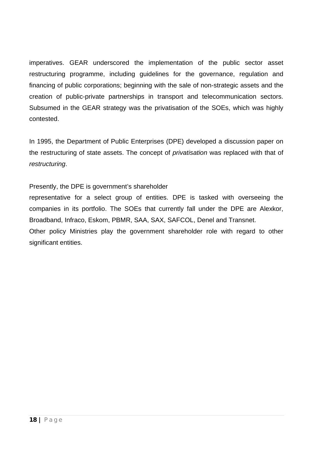imperatives. GEAR underscored the implementation of the public sector asset restructuring programme, including guidelines for the governance, regulation and financing of public corporations; beginning with the sale of non-strategic assets and the creation of public-private partnerships in transport and telecommunication sectors. Subsumed in the GEAR strategy was the privatisation of the SOEs, which was highly contested.

In 1995, the Department of Public Enterprises (DPE) developed a discussion paper on the restructuring of state assets. The concept of *privatisation* was replaced with that of *restructuring*.

Presently, the DPE is government's shareholder

representative for a select group of entities. DPE is tasked with overseeing the companies in its portfolio. The SOEs that currently fall under the DPE are Alexkor, Broadband, Infraco, Eskom, PBMR, SAA, SAX, SAFCOL, Denel and Transnet.

Other policy Ministries play the government shareholder role with regard to other significant entities.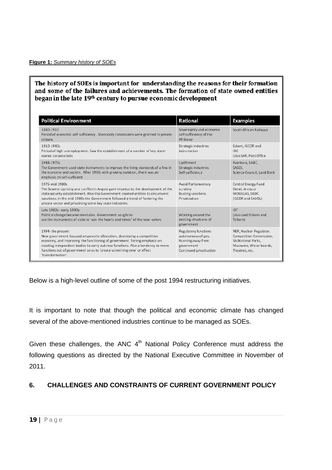#### The history of SOEs is important for understanding the reasons for their formation and some of the failures and achievements. The formation of state owned entities began in the late 19<sup>th</sup> century to pursue economic development

| <b>Political Environment</b>                                                                                                                                                                                                                                                                                                                             | <b>Rational</b>                                                                                                 | <b>Examples</b>                                                                                                             |
|----------------------------------------------------------------------------------------------------------------------------------------------------------------------------------------------------------------------------------------------------------------------------------------------------------------------------------------------------------|-----------------------------------------------------------------------------------------------------------------|-----------------------------------------------------------------------------------------------------------------------------|
| 1880-1910<br>Period of economic self sufficiency . Monopoly concessions were granted to private<br>citizens.                                                                                                                                                                                                                                             | Sovereignty and economic<br>self-sufficiency of the<br>Afrikaner                                                | South African Railways                                                                                                      |
| 1910-1940s<br>Period of high unemployment. Saw the establishment of a number of key state-<br>owned corporations                                                                                                                                                                                                                                         | <b>Strategic industries</b><br>Job creation                                                                     | Eskom, ISCOR and<br>IDC.<br>(also SAR, Post Office)                                                                         |
| 1948-1970s<br>The Government used state instruments to improve the living standards of a few in<br>the economy and society. After 1960, with growing isolation, there was an<br>emphasis on self-sufficient                                                                                                                                              | Upliftment<br><b>Strategic industries</b><br>Self-sufficiency                                                   | Aventura, SABC,<br>SASOL<br>Science Council, Land Bank                                                                      |
| 1976-mid-1980s<br>The Soweto Uprising and conflict in Angola gave impetus to the development of the<br>state security establishment. Also the Government created entities to circumvent<br>sanctions. In the mid-1980s the Government followed a trend of fostering the<br>private sector and privatising some key state industries.                     | <b>Avoid Parliamentary</b><br>scrutiny<br><b>Busting sanctions</b><br>Privatisation                             | Central Energy Fund<br>Denel, Armscor<br>MOSSGAS, SBDC<br>(ISCOR and SASOL)                                                 |
| Late 1980s - early 1990s:<br>Political change became inevitable. Government sought to<br>use the instruments of state to 'win the hearts and minds' of the new voters                                                                                                                                                                                    | Working around the<br>existing structures of<br>government                                                      | <b>IDT</b><br>(also used Eskom and<br>Telkom)                                                                               |
| 1994-the present<br>New government focused on poverty alleviation, developing a competitive<br>economy, and improving the functioning of government. Strong emphasis on<br>creating independent bodies to carry out new functions. Also a tendency to move<br>functions out of government so as to 'create something new' or effect<br>'transformation'. | <b>Regulatory functions</b><br>autonomous of gov.<br>Running away from<br>government<br>Continued privatisation | NER, Nuclear Regulator,<br>Competition Commission,<br><b>SA National Parks,</b><br>Museums, Water boards,<br>Theatres, etc. |

Below is a high-level outline of some of the post 1994 restructuring initiatives.

It is important to note that though the political and economic climate has changed several of the above-mentioned industries continue to be managed as SOEs.

Given these challenges, the ANC  $4<sup>th</sup>$  National Policy Conference must address the following questions as directed by the National Executive Committee in November of 2011.

#### **6. CHALLENGES AND CONSTRAINTS OF CURRENT GOVERNMENT POLICY**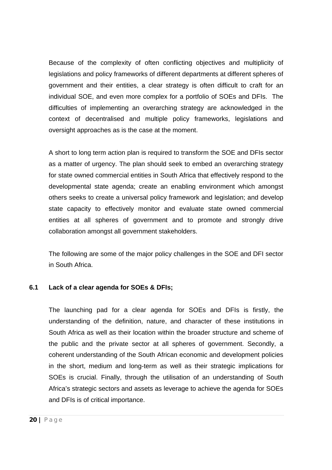Because of the complexity of often conflicting objectives and multiplicity of legislations and policy frameworks of different departments at different spheres of government and their entities, a clear strategy is often difficult to craft for an individual SOE, and even more complex for a portfolio of SOEs and DFIs. The difficulties of implementing an overarching strategy are acknowledged in the context of decentralised and multiple policy frameworks, legislations and oversight approaches as is the case at the moment.

A short to long term action plan is required to transform the SOE and DFIs sector as a matter of urgency. The plan should seek to embed an overarching strategy for state owned commercial entities in South Africa that effectively respond to the developmental state agenda; create an enabling environment which amongst others seeks to create a universal policy framework and legislation; and develop state capacity to effectively monitor and evaluate state owned commercial entities at all spheres of government and to promote and strongly drive collaboration amongst all government stakeholders.

The following are some of the major policy challenges in the SOE and DFI sector in South Africa.

#### **6.1 Lack of a clear agenda for SOEs & DFIs;**

The launching pad for a clear agenda for SOEs and DFIs is firstly, the understanding of the definition, nature, and character of these institutions in South Africa as well as their location within the broader structure and scheme of the public and the private sector at all spheres of government. Secondly, a coherent understanding of the South African economic and development policies in the short, medium and long-term as well as their strategic implications for SOEs is crucial. Finally, through the utilisation of an understanding of South Africa's strategic sectors and assets as leverage to achieve the agenda for SOEs and DFIs is of critical importance.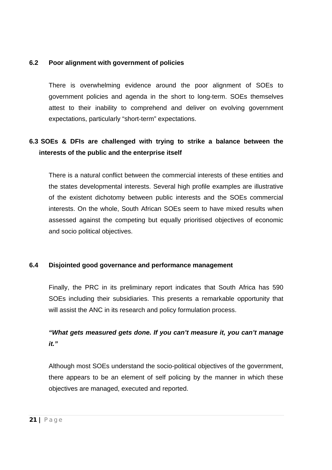#### **6.2 Poor alignment with government of policies**

There is overwhelming evidence around the poor alignment of SOEs to government policies and agenda in the short to long-term. SOEs themselves attest to their inability to comprehend and deliver on evolving government expectations, particularly "short-term" expectations.

### **6.3 SOEs & DFIs are challenged with trying to strike a balance between the interests of the public and the enterprise itself**

There is a natural conflict between the commercial interests of these entities and the states developmental interests. Several high profile examples are illustrative of the existent dichotomy between public interests and the SOEs commercial interests. On the whole, South African SOEs seem to have mixed results when assessed against the competing but equally prioritised objectives of economic and socio political objectives.

#### **6.4 Disjointed good governance and performance management**

Finally, the PRC in its preliminary report indicates that South Africa has 590 SOEs including their subsidiaries. This presents a remarkable opportunity that will assist the ANC in its research and policy formulation process.

## *"What gets measured gets done. If you can't measure it, you can't manage it."*

Although most SOEs understand the socio-political objectives of the government, there appears to be an element of self policing by the manner in which these objectives are managed, executed and reported.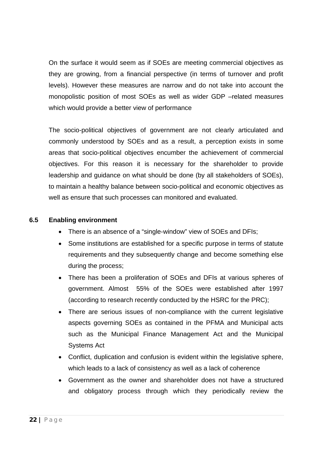On the surface it would seem as if SOEs are meeting commercial objectives as they are growing, from a financial perspective (in terms of turnover and profit levels). However these measures are narrow and do not take into account the monopolistic position of most SOEs as well as wider GDP –related measures which would provide a better view of performance

The socio-political objectives of government are not clearly articulated and commonly understood by SOEs and as a result, a perception exists in some areas that socio-political objectives encumber the achievement of commercial objectives. For this reason it is necessary for the shareholder to provide leadership and guidance on what should be done (by all stakeholders of SOEs), to maintain a healthy balance between socio-political and economic objectives as well as ensure that such processes can monitored and evaluated.

#### **6.5 Enabling environment**

- There is an absence of a "single-window" view of SOEs and DFIs;
- Some institutions are established for a specific purpose in terms of statute requirements and they subsequently change and become something else during the process;
- There has been a proliferation of SOEs and DFIs at various spheres of government. Almost 55% of the SOEs were established after 1997 (according to research recently conducted by the HSRC for the PRC);
- There are serious issues of non-compliance with the current legislative aspects governing SOEs as contained in the PFMA and Municipal acts such as the Municipal Finance Management Act and the Municipal Systems Act
- Conflict, duplication and confusion is evident within the legislative sphere, which leads to a lack of consistency as well as a lack of coherence
- Government as the owner and shareholder does not have a structured and obligatory process through which they periodically review the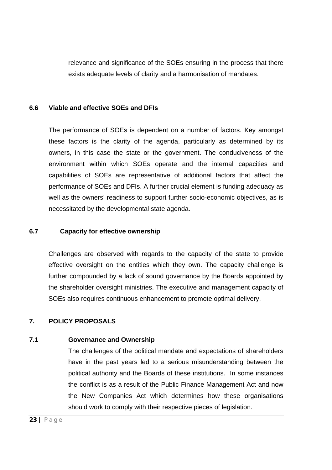relevance and significance of the SOEs ensuring in the process that there exists adequate levels of clarity and a harmonisation of mandates.

#### **6.6 Viable and effective SOEs and DFIs**

The performance of SOEs is dependent on a number of factors. Key amongst these factors is the clarity of the agenda, particularly as determined by its owners, in this case the state or the government. The conduciveness of the environment within which SOEs operate and the internal capacities and capabilities of SOEs are representative of additional factors that affect the performance of SOEs and DFIs. A further crucial element is funding adequacy as well as the owners' readiness to support further socio-economic objectives, as is necessitated by the developmental state agenda.

#### **6.7 Capacity for effective ownership**

Challenges are observed with regards to the capacity of the state to provide effective oversight on the entities which they own. The capacity challenge is further compounded by a lack of sound governance by the Boards appointed by the shareholder oversight ministries. The executive and management capacity of SOEs also requires continuous enhancement to promote optimal delivery.

#### **7. POLICY PROPOSALS**

#### **7.1 Governance and Ownership**

The challenges of the political mandate and expectations of shareholders have in the past years led to a serious misunderstanding between the political authority and the Boards of these institutions. In some instances the conflict is as a result of the Public Finance Management Act and now the New Companies Act which determines how these organisations should work to comply with their respective pieces of legislation.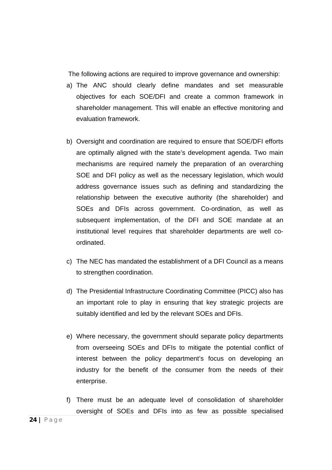The following actions are required to improve governance and ownership:

- a) The ANC should clearly define mandates and set measurable objectives for each SOE/DFI and create a common framework in shareholder management. This will enable an effective monitoring and evaluation framework.
- b) Oversight and coordination are required to ensure that SOE/DFI efforts are optimally aligned with the state's development agenda. Two main mechanisms are required namely the preparation of an overarching SOE and DFI policy as well as the necessary legislation, which would address governance issues such as defining and standardizing the relationship between the executive authority (the shareholder) and SOEs and DFIs across government. Co-ordination, as well as subsequent implementation, of the DFI and SOE mandate at an institutional level requires that shareholder departments are well coordinated.
- c) The NEC has mandated the establishment of a DFI Council as a means to strengthen coordination.
- d) The Presidential Infrastructure Coordinating Committee (PICC) also has an important role to play in ensuring that key strategic projects are suitably identified and led by the relevant SOEs and DFIs.
- e) Where necessary, the government should separate policy departments from overseeing SOEs and DFIs to mitigate the potential conflict of interest between the policy department's focus on developing an industry for the benefit of the consumer from the needs of their enterprise.
- f) There must be an adequate level of consolidation of shareholder oversight of SOEs and DFIs into as few as possible specialised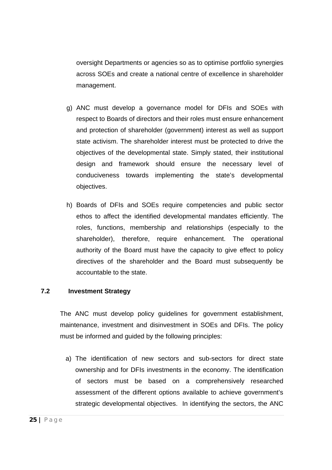oversight Departments or agencies so as to optimise portfolio synergies across SOEs and create a national centre of excellence in shareholder management.

- g) ANC must develop a governance model for DFIs and SOEs with respect to Boards of directors and their roles must ensure enhancement and protection of shareholder (government) interest as well as support state activism. The shareholder interest must be protected to drive the objectives of the developmental state. Simply stated, their institutional design and framework should ensure the necessary level of conduciveness towards implementing the state's developmental objectives.
- h) Boards of DFIs and SOEs require competencies and public sector ethos to affect the identified developmental mandates efficiently. The roles, functions, membership and relationships (especially to the shareholder), therefore, require enhancement. The operational authority of the Board must have the capacity to give effect to policy directives of the shareholder and the Board must subsequently be accountable to the state.

#### **7.2 Investment Strategy**

The ANC must develop policy guidelines for government establishment, maintenance, investment and disinvestment in SOEs and DFIs. The policy must be informed and guided by the following principles:

a) The identification of new sectors and sub-sectors for direct state ownership and for DFIs investments in the economy. The identification of sectors must be based on a comprehensively researched assessment of the different options available to achieve government's strategic developmental objectives. In identifying the sectors, the ANC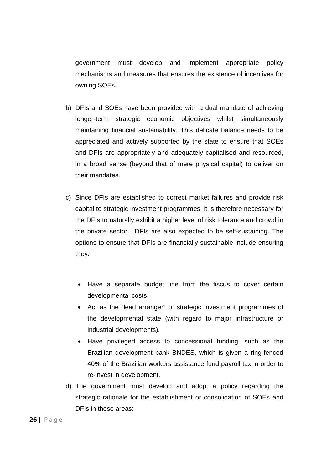government must develop and implement appropriate policy mechanisms and measures that ensures the existence of incentives for owning SOEs.

- b) DFIs and SOEs have been provided with a dual mandate of achieving longer-term strategic economic objectives whilst simultaneously maintaining financial sustainability. This delicate balance needs to be appreciated and actively supported by the state to ensure that SOEs and DFIs are appropriately and adequately capitalised and resourced, in a broad sense (beyond that of mere physical capital) to deliver on their mandates.
- c) Since DFIs are established to correct market failures and provide risk capital to strategic investment programmes, it is therefore necessary for the DFIs to naturally exhibit a higher level of risk tolerance and crowd in the private sector. DFIs are also expected to be self-sustaining. The options to ensure that DFIs are financially sustainable include ensuring they:
	- Have a separate budget line from the fiscus to cover certain developmental costs
	- Act as the "lead arranger" of strategic investment programmes of the developmental state (with regard to major infrastructure or industrial developments).
	- Have privileged access to concessional funding, such as the Brazilian development bank BNDES, which is given a ring-fenced 40% of the Brazilian workers assistance fund payroll tax in order to re-invest in development.
- d) The government must develop and adopt a policy regarding the strategic rationale for the establishment or consolidation of SOEs and DFIs in these areas: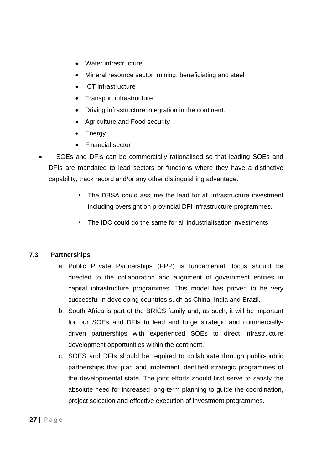- Water infrastructure
- Mineral resource sector, mining, beneficiating and steel
- ICT infrastructure
- Transport infrastructure
- Driving infrastructure integration in the continent.
- Agriculture and Food security
- **Energy**
- Financial sector
- SOEs and DFIs can be commercially rationalised so that leading SOEs and DFIs are mandated to lead sectors or functions where they have a distinctive capability, track record and/or any other distinguishing advantage.
	- The DBSA could assume the lead for all infrastructure investment including oversight on provincial DFI infrastructure programmes.
	- The IDC could do the same for all industrialisation investments

#### **7.3 Partnerships**

- a. Public Private Partnerships (PPP) is fundamental; focus should be directed to the collaboration and alignment of government entities in capital infrastructure programmes. This model has proven to be very successful in developing countries such as China, India and Brazil.
- b. South Africa is part of the BRICS family and, as such, it will be important for our SOEs and DFIs to lead and forge strategic and commerciallydriven partnerships with experienced SOEs to direct infrastructure development opportunities within the continent.
- c. SOES and DFIs should be required to collaborate through public-public partnerships that plan and implement identified strategic programmes of the developmental state. The joint efforts should first serve to satisfy the absolute need for increased long-term planning to guide the coordination, project selection and effective execution of investment programmes.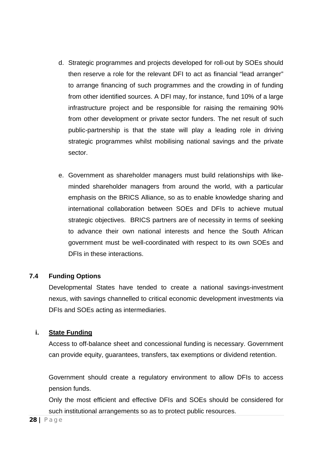- d. Strategic programmes and projects developed for roll-out by SOEs should then reserve a role for the relevant DFI to act as financial "lead arranger" to arrange financing of such programmes and the crowding in of funding from other identified sources. A DFI may, for instance, fund 10% of a large infrastructure project and be responsible for raising the remaining 90% from other development or private sector funders. The net result of such public-partnership is that the state will play a leading role in driving strategic programmes whilst mobilising national savings and the private sector.
- e. Government as shareholder managers must build relationships with likeminded shareholder managers from around the world, with a particular emphasis on the BRICS Alliance, so as to enable knowledge sharing and international collaboration between SOEs and DFIs to achieve mutual strategic objectives. BRICS partners are of necessity in terms of seeking to advance their own national interests and hence the South African government must be well-coordinated with respect to its own SOEs and DFIs in these interactions.

#### **7.4 Funding Options**

Developmental States have tended to create a national savings-investment nexus, with savings channelled to critical economic development investments via DFIs and SOEs acting as intermediaries.

#### **i. State Funding**

Access to off-balance sheet and concessional funding is necessary. Government can provide equity, guarantees, transfers, tax exemptions or dividend retention.

Government should create a regulatory environment to allow DFIs to access pension funds.

Only the most efficient and effective DFIs and SOEs should be considered for such institutional arrangements so as to protect public resources.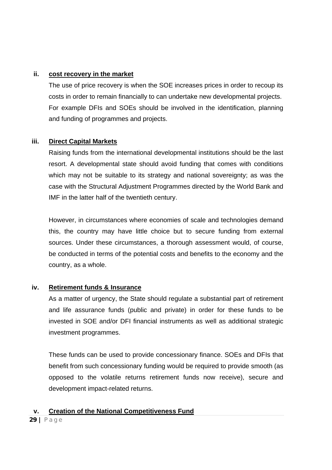#### **ii. cost recovery in the market**

The use of price recovery is when the SOE increases prices in order to recoup its costs in order to remain financially to can undertake new developmental projects. For example DFIs and SOEs should be involved in the identification, planning and funding of programmes and projects.

#### **iii. Direct Capital Markets**

Raising funds from the international developmental institutions should be the last resort. A developmental state should avoid funding that comes with conditions which may not be suitable to its strategy and national sovereignty; as was the case with the Structural Adjustment Programmes directed by the World Bank and IMF in the latter half of the twentieth century.

However, in circumstances where economies of scale and technologies demand this, the country may have little choice but to secure funding from external sources. Under these circumstances, a thorough assessment would, of course, be conducted in terms of the potential costs and benefits to the economy and the country, as a whole.

#### **iv. Retirement funds & Insurance**

As a matter of urgency, the State should regulate a substantial part of retirement and life assurance funds (public and private) in order for these funds to be invested in SOE and/or DFI financial instruments as well as additional strategic investment programmes.

These funds can be used to provide concessionary finance. SOEs and DFIs that benefit from such concessionary funding would be required to provide smooth (as opposed to the volatile returns retirement funds now receive), secure and development impact-related returns.

#### **v. Creation of the National Competitiveness Fund**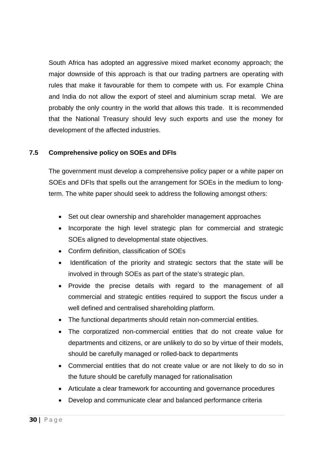South Africa has adopted an aggressive mixed market economy approach; the major downside of this approach is that our trading partners are operating with rules that make it favourable for them to compete with us. For example China and India do not allow the export of steel and aluminium scrap metal. We are probably the only country in the world that allows this trade. It is recommended that the National Treasury should levy such exports and use the money for development of the affected industries.

#### **7.5 Comprehensive policy on SOEs and DFIs**

The government must develop a comprehensive policy paper or a white paper on SOEs and DFIs that spells out the arrangement for SOEs in the medium to longterm. The white paper should seek to address the following amongst others:

- Set out clear ownership and shareholder management approaches
- Incorporate the high level strategic plan for commercial and strategic SOEs aligned to developmental state objectives.
- Confirm definition, classification of SOEs
- Identification of the priority and strategic sectors that the state will be involved in through SOEs as part of the state's strategic plan.
- Provide the precise details with regard to the management of all commercial and strategic entities required to support the fiscus under a well defined and centralised shareholding platform.
- The functional departments should retain non-commercial entities.
- The corporatized non-commercial entities that do not create value for departments and citizens, or are unlikely to do so by virtue of their models, should be carefully managed or rolled-back to departments
- Commercial entities that do not create value or are not likely to do so in the future should be carefully managed for rationalisation
- Articulate a clear framework for accounting and governance procedures
- Develop and communicate clear and balanced performance criteria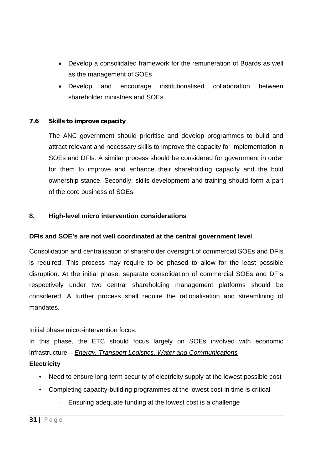- Develop a consolidated framework for the remuneration of Boards as well as the management of SOEs
- Develop and encourage institutionalised collaboration between shareholder ministries and SOEs

#### **7.6 Skills to improve capacity**

The ANC government should prioritise and develop programmes to build and attract relevant and necessary skills to improve the capacity for implementation in SOEs and DFIs. A similar process should be considered for government in order for them to improve and enhance their shareholding capacity and the bold ownership stance. Secondly, skills development and training should form a part of the core business of SOEs.

#### **8. High-level micro intervention considerations**

#### **DFIs and SOE's are not well coordinated at the central government level**

Consolidation and centralisation of shareholder oversight of commercial SOEs and DFIs is required. This process may require to be phased to allow for the least possible disruption. At the initial phase, separate consolidation of commercial SOEs and DFIs respectively under two central shareholding management platforms should be considered. A further process shall require the rationalisation and streamlining of mandates.

Initial phase micro-intervention focus:

In this phase, the ETC should focus largely on SOEs involved with economic infrastructure – *Energy, Transport Logistics, Water and Communications* **Electricity** 

- Need to ensure long-term security of electricity supply at the lowest possible cost
- Completing capacity-building programmes at the lowest cost in time is critical
	- Ensuring adequate funding at the lowest cost is a challenge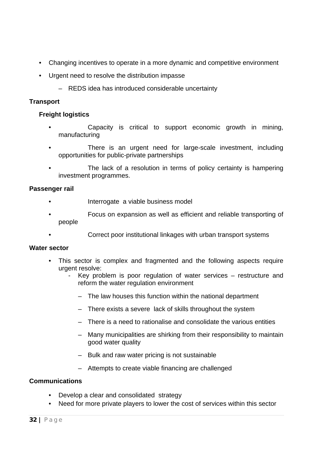- Changing incentives to operate in a more dynamic and competitive environment
- Urgent need to resolve the distribution impasse
	- REDS idea has introduced considerable uncertainty

#### **Transport**

#### **Freight logistics**

- Capacity is critical to support economic growth in mining, manufacturing
- There is an urgent need for large-scale investment, including opportunities for public-private partnerships
- The lack of a resolution in terms of policy certainty is hampering investment programmes.

#### **Passenger rail**

- Interrogate a viable business model
- Focus on expansion as well as efficient and reliable transporting of people
- Correct poor institutional linkages with urban transport systems

#### **Water sector**

- This sector is complex and fragmented and the following aspects require urgent resolve:
	- Key problem is poor regulation of water services  $-$  restructure and reform the water regulation environment
		- The law houses this function within the national department
		- There exists a severe lack of skills throughout the system
		- There is a need to rationalise and consolidate the various entities
		- Many municipalities are shirking from their responsibility to maintain good water quality
		- Bulk and raw water pricing is not sustainable
		- Attempts to create viable financing are challenged

#### **Communications**

- Develop a clear and consolidated strategy
- Need for more private players to lower the cost of services within this sector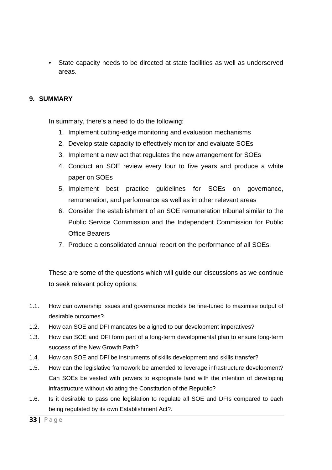• State capacity needs to be directed at state facilities as well as underserved areas.

#### **9. SUMMARY**

In summary, there's a need to do the following:

- 1. Implement cutting-edge monitoring and evaluation mechanisms
- 2. Develop state capacity to effectively monitor and evaluate SOEs
- 3. Implement a new act that regulates the new arrangement for SOEs
- 4. Conduct an SOE review every four to five years and produce a white paper on SOEs
- 5. Implement best practice guidelines for SOEs on governance, remuneration, and performance as well as in other relevant areas
- 6. Consider the establishment of an SOE remuneration tribunal similar to the Public Service Commission and the Independent Commission for Public Office Bearers
- 7. Produce a consolidated annual report on the performance of all SOEs.

These are some of the questions which will guide our discussions as we continue to seek relevant policy options:

- 1.1. How can ownership issues and governance models be fine-tuned to maximise output of desirable outcomes?
- 1.2. How can SOE and DFI mandates be aligned to our development imperatives?
- 1.3. How can SOE and DFI form part of a long-term developmental plan to ensure long-term success of the New Growth Path?
- 1.4. How can SOE and DFI be instruments of skills development and skills transfer?
- 1.5. How can the legislative framework be amended to leverage infrastructure development? Can SOEs be vested with powers to expropriate land with the intention of developing infrastructure without violating the Constitution of the Republic?
- 1.6. Is it desirable to pass one legislation to regulate all SOE and DFIs compared to each being regulated by its own Establishment Act?.

**<sup>33 |</sup>** Page